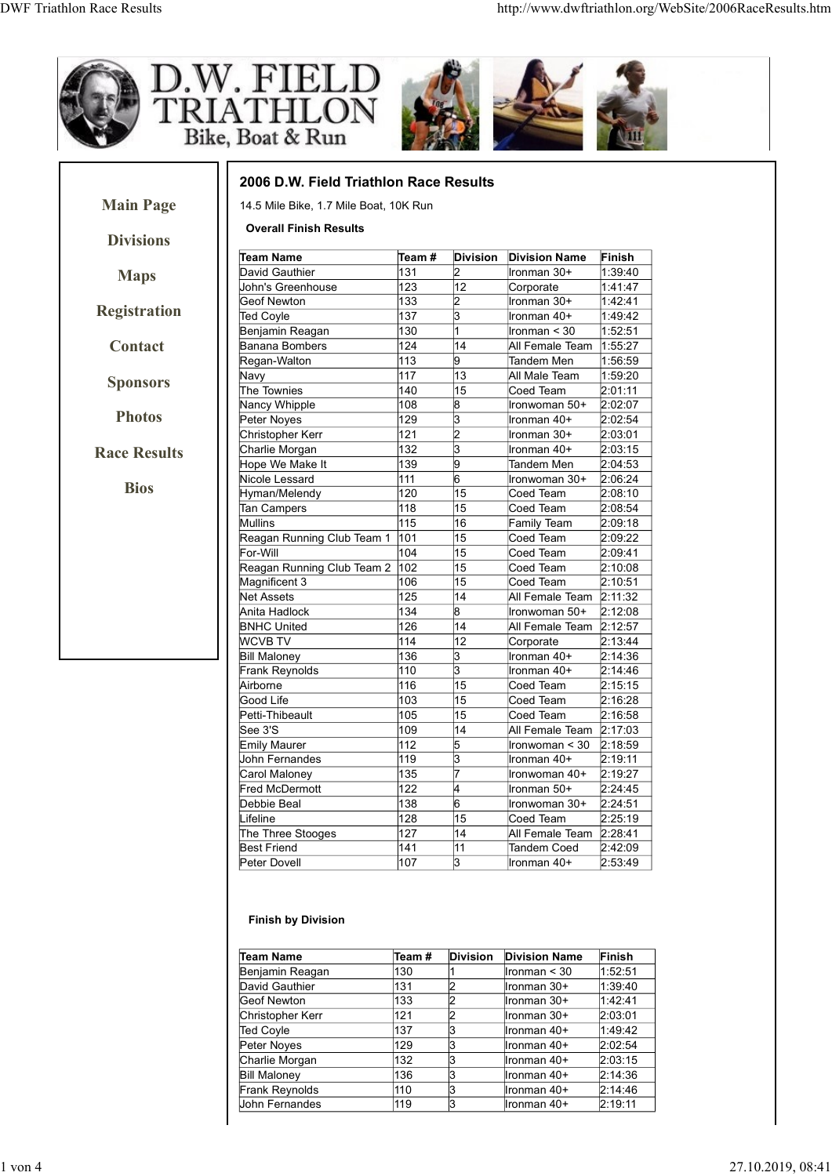

## Finish by Division

| <b>Bill Maloney</b><br>Frank Reynolds                                                                                                  |            |                 | Corporate                  | 2:13:44            |
|----------------------------------------------------------------------------------------------------------------------------------------|------------|-----------------|----------------------------|--------------------|
|                                                                                                                                        | 136        | 3               | Ironman 40+                | 2:14:36            |
|                                                                                                                                        | 110        | 3               | Ironman 40+                | 2:14:46            |
| Airborne                                                                                                                               | 116        | $\overline{15}$ | Coed Team                  | 2:15:15            |
| Good Life                                                                                                                              | 103        | 15              | Coed Team                  | 2:16:28            |
| Petti-Thibeault                                                                                                                        | 105        | 15              | Coed Team                  | 2:16:58            |
| See 3'S                                                                                                                                | 109        | 14              | All Female Team 2:17:03    |                    |
| <b>Emily Maurer</b>                                                                                                                    | 112        | 5               | Ironwoman < 30             | 2:18:59            |
| John Fernandes                                                                                                                         | 119        | 3               | Ironman 40+                | 2:19:11            |
| Carol Maloney                                                                                                                          | 135        | 17              | Ironwoman 40+              | 2:19:27            |
| <b>Fred McDermott</b>                                                                                                                  | 122        | 4               | Ironman 50+                | 2:24:45            |
| Debbie Beal                                                                                                                            | 138        | 6               | Ironwoman 30+              | 2:24:51            |
| Lifeline                                                                                                                               | 128        | 15              | Coed Team                  | 2:25:19            |
| The Three Stooges                                                                                                                      | 127        | 14              | All Female Team 2:28:41    |                    |
| <b>Best Friend</b>                                                                                                                     | 141        | 11              | Tandem Coed                | 2:42:09            |
| Peter Dovell                                                                                                                           | 107        | I3              | Ironman 40+                | 2:53:49            |
| <b>Finish by Division</b>                                                                                                              |            |                 |                            |                    |
|                                                                                                                                        |            |                 |                            |                    |
|                                                                                                                                        | Team#      | <b>Division</b> | <b>Division Name</b>       | Finish             |
|                                                                                                                                        | 130        |                 | Ironman < 30               | 1.52:51            |
|                                                                                                                                        | 131        | 2               | Ironman 30+                | 1.39.40            |
|                                                                                                                                        | 133        | 2               | Ironman 30+                | 1.42:41            |
|                                                                                                                                        | 121        | 2               | Ironman 30+                | 2:03:01            |
|                                                                                                                                        | 137        | З               | Ironman 40+                | 1:49:42            |
|                                                                                                                                        | 129        | З               | Ironman 40+                | 2:02:54            |
| <b>Team Name</b><br>Benjamin Reagan<br>David Gauthier<br>Geof Newton<br>Christopher Kerr<br>Ted Coyle<br>Peter Noyes<br>Charlie Morgan | 132        | З               | Ironman 40+                | 2:03:15            |
| <b>Bill Maloney</b>                                                                                                                    | 136        | З               | Ironman 40+                | 2:14:36            |
| Frank Reynolds<br>John Fernandes                                                                                                       | 110<br>119 | 3<br>lз         | Ironman 40+<br>Ironman 40+ | 2:14:46<br>2:19:11 |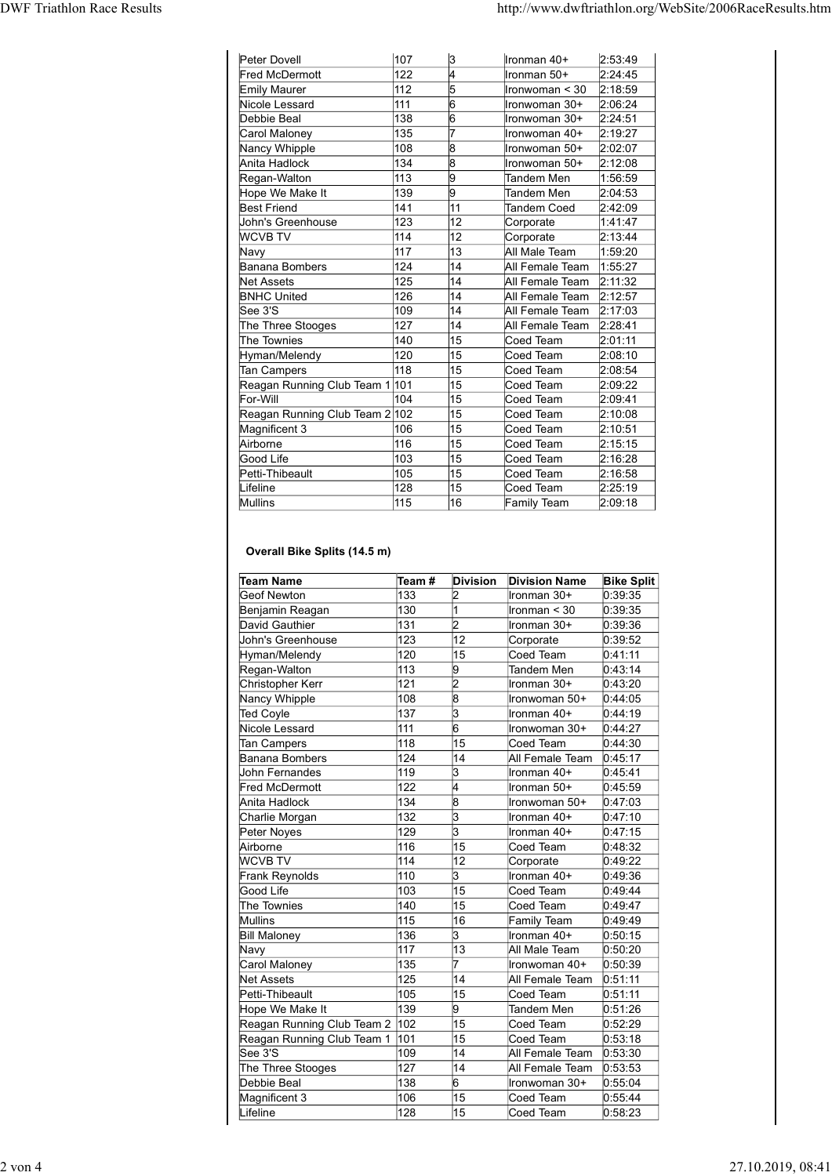|                                                                               |                                       |                             | http://www.dwftriathlon.org/WebSite/2006RaceResults.htm                       |                                          |
|-------------------------------------------------------------------------------|---------------------------------------|-----------------------------|-------------------------------------------------------------------------------|------------------------------------------|
| Peter Dovell                                                                  | 107                                   | 3                           | Ironman 40+                                                                   | 2:53:49                                  |
| Fred McDermott<br>Emily Maurer<br>Nicole Lessard                              | 122 <br>112<br> 111                   | 5<br>16                     | Ironman 50+<br>Ironwoman < 30<br>Ironwoman 30+                                | 2:24:45<br>2:18:59<br>2:06:24            |
| Debbie Beal<br>Carol Maloney<br>Nancy Whipple                                 | 138<br>135<br>108                     | 16                          | Ironwoman 30+<br>Ironwoman 40+<br>Ironwoman 50+                               | 2:24:51<br>2:19:27<br>2:02:07            |
| Anita Hadlock<br>Regan-Walton<br>Hope We Make It                              | 134<br> 113<br>139                    | l8<br>9<br>9                | Ironwoman 50+<br>Tandem Men<br>Tandem Men                                     | 2:12:08<br>1:56:59<br>2:04:53            |
| <b>Best Friend</b><br>John's Greenhouse<br><b>WCVB TV</b>                     | 141<br>123<br> 114                    | 11<br>$\overline{12}$<br>12 | Tandem Coed<br>Corporate<br>Corporate                                         | 2:42:09<br>1:41:47<br>2:13:44            |
| Navy<br>Banana Bombers<br>Net Assets                                          | 117<br> 124<br>125                    | 13<br>14<br>14              | All Male Team<br>All Female Team<br>All Female Team 2:11:32                   | 1:59:20<br>1:55:27                       |
| <b>BNHC United</b><br>See 3'S<br>The Three Stooges                            | 126<br>109<br> 127                    | 14<br>14<br>14              | All Female Team 2:12:57<br>All Female Team 2:17:03<br>All Female Team 2:28:41 |                                          |
| The Townies<br>Hyman/Melendy<br>Tan Campers<br>Reagan Running Club Team 1 101 | $ 140\rangle$<br>$ 120\rangle$<br>118 | 15<br>15<br>15<br>15        | Coed Team<br>Coed Team<br>Coed Team<br>Coed Team                              | 2:01:11<br>2:08:10<br>2:08:54<br>2:09:22 |
| For-Will<br>Reagan Running Club Team 2 102<br>Magnificent 3                   | 104 <br>106                           | 15<br>15<br>15              | Coed Team<br>Coed Team<br>Coed Team                                           | 2:09:41<br>2:10:08<br>2:10:51            |
| Airborne<br>Good Life<br>Petti-Thibeault                                      | 116<br>$ 103\rangle$<br>105           | 15<br>15<br>15              | Coed Team<br>Coed Team<br>Coed Team                                           | 2:15:15<br>2:16:28<br>2:16:58            |
| Lifeline<br>Mullins                                                           | 128<br>115                            | $\overline{15}$<br>16       | Coed Team<br>Family Team                                                      | 2:25:19<br>2:09:18                       |
| Overall Bike Splits (14.5 m)<br><b>Team Name</b>                              | Team #                                |                             | Division Division Name                                                        | <b>Bike Split</b>                        |
| Geof Newton<br>Benjamin Reagan                                                | 133<br>130                            | $\vert$ 2                   | Ironman 30+<br>Ironman < 30                                                   | 0:39:35<br>0:39:35                       |
| David Gauthier<br>John's Greenhouse<br>Hyman/Melendy                          | 131<br>123<br>$\overline{120}$        | $\vert$ 2<br>12<br>15       | Ironman 30+<br>Corporate<br>Coed Team                                         | 0:39:36<br>0:39:52<br>0:41:11            |
| Regan-Walton<br>Christopher Kerr<br>Nancy Whipple                             | 113<br>121<br>108                     | 9<br>$\vert$ 2<br> 8        | Tandem Men<br>Ironman 30+<br>Ironwoman 50+                                    | 0:43:14<br>0:43:20<br>0:44:05            |
| Ted Coyle                                                                     | 137<br>111                            | k.<br>6                     | Ironman 40+<br>Ironwoman 30+                                                  | 0:44:19<br>0.44:27                       |
| Nicole Lessard<br>Tan Campers                                                 | 118                                   | 15                          | Coed Team                                                                     | 0:44:30                                  |

## Overall Bike Splits (14.5 m)

| The Three Stooges<br>127       |       | 14              | All Female Team      | 2:28:41           |
|--------------------------------|-------|-----------------|----------------------|-------------------|
| The Townies<br>140             |       | 15              | Coed Team            | 2:01:11           |
| Hyman/Melendy<br>120           |       | 15              | Coed Team            | 2:08:10           |
| 118<br>Tan Campers             |       | 15              | Coed Team            | 2:08:54           |
| Reagan Running Club Team 1 101 |       | 15              | Coed Team            | 2:09:22           |
| For-Will<br>104                |       | 15              | Coed Team            | 2:09:41           |
| Reagan Running Club Team 2 102 |       | 15              | Coed Team            | 2:10:08           |
| 106<br>Magnificent 3           |       | 15              | Coed Team            | 2:10:51           |
|                                |       | 15              |                      |                   |
| 116<br>Airborne                |       |                 | Coed Team            | 2:15:15           |
| 103<br>Good Life               |       | 15              | Coed Team            | 2:16:28           |
| 105<br>Petti-Thibeault         |       | 15              | Coed Team            | 2:16:58           |
| Lifeline<br>128                |       | 15              | Coed Team            | 2:25:19           |
| 115<br>Mullins                 |       | 16              | Family Team          | 2:09:18           |
| Overall Bike Splits (14.5 m)   |       |                 |                      |                   |
| <b>Team Name</b>               | Team# | <b>Division</b> | <b>Division Name</b> | <b>Bike Split</b> |
| Geof Newton                    | 133   | 2               | Ironman 30+          | 0:39:35           |
| Benjamin Reagan                | 130   | 1               | Ironman $<$ 30       | 0:39:35           |
| David Gauthier                 | 131   | $\overline{2}$  | Ironman 30+          | 0:39:36           |
| John's Greenhouse              | 123   | $\overline{12}$ | Corporate            | 0:39:52           |
| Hyman/Melendy                  | 120   | 15              | Coed Team            | 0:41:11           |
| Regan-Walton                   | 113   | 9               | Tandem Men           | 0:43:14           |
| Christopher Kerr               | 121   | $\overline{2}$  | Ironman 30+          | 0:43:20           |
| Nancy Whipple                  | 108   | 8               | Ironwoman 50+        | 0:44:05           |
| Ted Coyle                      | 137   | 3               | Ironman 40+          | 0:44:19           |
| Nicole Lessard                 | 111   | $\overline{6}$  | Ironwoman 30+        | 0:44:27           |
| Tan Campers                    | 118   | 15              | Coed Team            | 0.44.30           |
| Banana Bombers                 | 124   | 14              | All Female Team      | 0.45.17           |
|                                |       |                 |                      |                   |
| John Fernandes                 | 119   | 3               | Ironman 40+          | 0:45:41           |
| Fred McDermott                 | 122   | l4              | Ironman 50+          | 0:45:59           |
| Anita Hadlock                  | 134   | 8               | Ironwoman 50+        | 0:47:03           |
| Charlie Morgan                 | 132   | l3              | Ironman 40+          | 0.47.10           |
| Peter Noyes                    | 129   | l3              | Ironman 40+          | 0.47:15           |
| Airborne                       | 116   | 15              | Coed Team            | 0:48:32           |
| <b>WCVB TV</b>                 | 114   | 12              | Corporate            | 0:49:22           |
| Frank Reynolds                 | 110   | 3               | Ironman 40+          | 0:49:36           |
| Good Life                      | 103   | 15              | Coed Team            | 0:49:44           |
| The Townies                    | 140   | 15              | Coed Team            | 0:49:47           |
| Mullins                        | 115   | 16              | Family Team          | 0:49:49           |
| <b>Bill Maloney</b>            | 136   | 3               | Ironman 40+          | 0:50:15           |
| Navy                           | 117   | 13              | All Male Team        | 0.50.20           |
|                                | 135   |                 |                      |                   |
| Carol Maloney                  |       |                 | Ironwoman 40+        | 0:50:39           |
| Net Assets                     | 125   | 14              | All Female Team      | 0:51:11           |
| Petti-Thibeault                | 105   | 15              | Coed Team            | 0:51:11           |
| Hope We Make It                | 139   | l9.             | Tandem Men           | 0:51:26           |
| Reagan Running Club Team 2 102 |       | 15              | Coed Team            | 0:52:29           |
| Reagan Running Club Team 1     | 101   | 15              | Coed Team            | 0:53:18           |
| See 3'S                        | 109   | 14              | All Female Team      | 0:53:30           |
| The Three Stooges              | 127   | $ 14\rangle$    | All Female Team      | 0:53:53           |
|                                | 138   | 6               | Ironwoman 30+        | 0:55:04           |
| Debbie Beal                    | 106   | 15              | Coed Team            | 0:55:44           |
| Magnificent 3                  |       |                 |                      | 0:58:23           |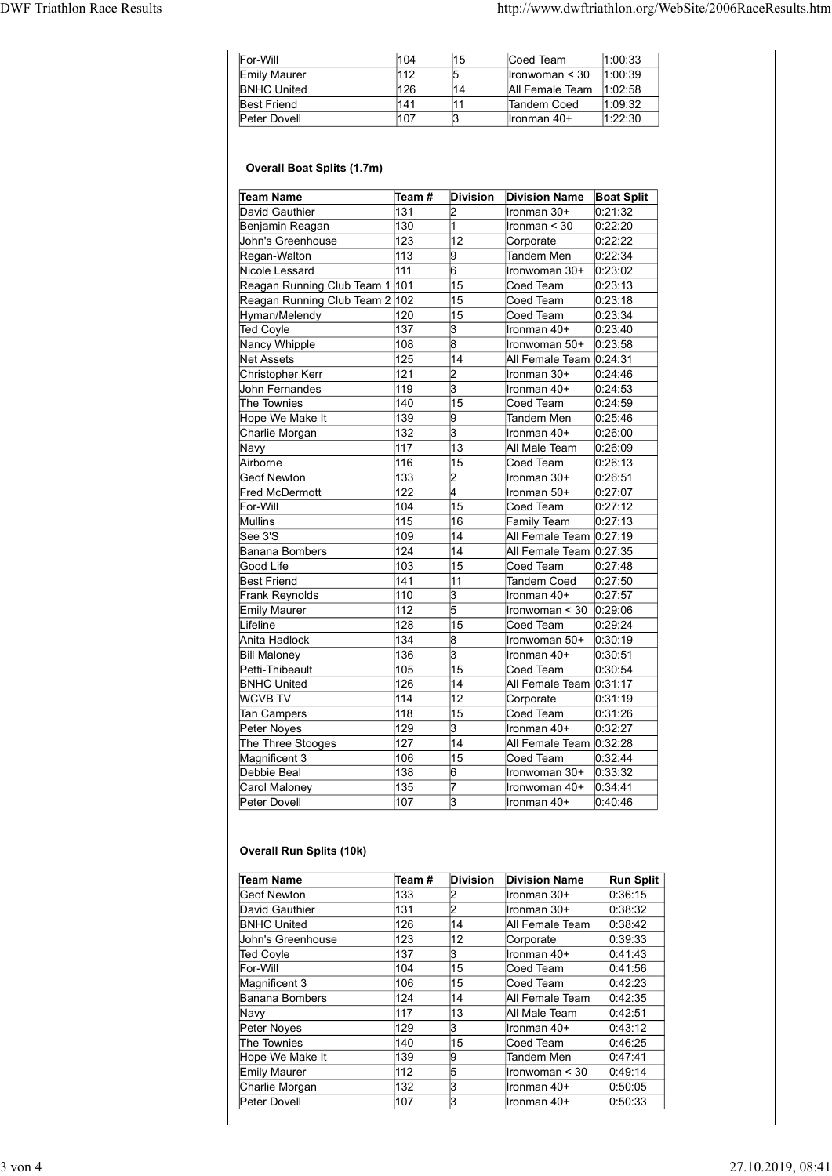## Overall Boat Splits (1.7m)

|                                                              |              |                                   | http://www.dwftriathlon.org/WebSite/2006RaceResults.htm |                              |
|--------------------------------------------------------------|--------------|-----------------------------------|---------------------------------------------------------|------------------------------|
|                                                              |              |                                   |                                                         |                              |
|                                                              |              |                                   |                                                         |                              |
| For-Will                                                     | 104<br>112   | 15<br>5                           | Coed Team                                               | 1:00:33                      |
| Emily Maurer<br><b>BNHC United</b>                           | 126          | 14                                | Ironwoman < 30<br>All Female Team                       | 1:00:39<br>1:02:58           |
| <b>Best Friend</b>                                           | 141          | 11                                | Tandem Coed                                             | 1:09:32                      |
| Peter Dovell                                                 | 107          | 3                                 | Ironman 40+                                             | 1:22:30                      |
| <b>Overall Boat Splits (1.7m)</b>                            |              |                                   |                                                         |                              |
|                                                              |              |                                   |                                                         |                              |
| Team Name<br>David Gauthier                                  | Team#<br>131 | <b>Division</b><br>$\overline{2}$ | <b>Division Name</b><br>Ironman 30+                     | <b>Boat Split</b><br>0:21:32 |
| Benjamin Reagan                                              | 130          |                                   | Ironman < 30                                            | 0:22:20                      |
| John's Greenhouse                                            | 123          | 12                                | Corporate                                               | 0:22:22                      |
| Regan-Walton                                                 | 113          | 9                                 | Tandem Men                                              | 0:22:34                      |
| Nicole Lessard                                               | 111          | 6                                 | Ironwoman 30+                                           | 0:23:02                      |
| Reagan Running Club Team 1<br>Reagan Running Club Team 2 102 | 101          | 15<br>15                          | Coed Team<br>Coed Team                                  | 0:23:13<br>0:23:18           |
| Hyman/Melendy                                                | 120          | 15                                | Coed Team                                               | 0:23:34                      |
| Ted Coyle                                                    | 137          | 3                                 | Ironman 40+                                             | 0:23:40                      |
| Nancy Whipple                                                | 108          | 8                                 | Ironwoman 50+                                           | 0:23:58                      |
| Net Assets<br>Christopher Kerr                               | 125<br>121   | 14<br>2                           | All Female Team 0:24:31<br>Ironman 30+                  | 0:24:46                      |
| John Fernandes                                               | 119          | 3                                 | Ironman 40+                                             | 0:24:53                      |
| The Townies                                                  | 140          | 15                                | Coed Team                                               | 0:24:59                      |
| Hope We Make It                                              | 139          | 9                                 | Tandem Men                                              | 0:25:46                      |
| Charlie Morgan                                               | 132          | 3                                 | Ironman 40+                                             | 0:26:00                      |
| Navy<br>Airborne                                             | 117<br>116   | 13<br>15                          | All Male Team<br>Coed Team                              | 0.26.09<br>0:26:13           |
| Geof Newton                                                  | 133          | 2                                 | Ironman 30+                                             | 0:26:51                      |
| Fred McDermott                                               | 122          |                                   | Ironman 50+                                             | 0:27:07                      |
| For-Will                                                     | 104          | 15                                | Coed Team                                               | 0:27:12                      |
| Mullins<br>See 3'S                                           | 115<br>109   | 16<br>14                          | Family Team                                             | 0:27:13                      |
| Banana Bombers                                               | 124          | 14                                | All Female Team 0:27:19<br>All Female Team 0:27:35      |                              |
| Good Life                                                    | 103          | 15                                | Coed Team                                               | 0:27:48                      |
| <b>Best Friend</b>                                           | 141          | 11                                | <b>Tandem Coed</b>                                      | 0:27:50                      |
| Frank Reynolds                                               | 110          | 3                                 | Ironman 40+                                             | 0.27:57                      |
| <b>Emily Maurer</b>                                          | 112          | 5                                 | Ironwoman < 30                                          | 0.29:06                      |
| Lifeline<br>Anita Hadlock                                    | 128<br>134   | 15<br>8                           | Coed Team<br>Ironwoman 50+                              | 0.29.24<br>0:30:19           |
| <b>Bill Maloney</b>                                          | 136          | 3                                 | Ironman 40+                                             | 0:30:51                      |
| Petti-Thibeault                                              | 105          | 15                                | Coed Team                                               | 0:30:54                      |
| <b>BNHC United</b>                                           | 126          | 14                                | All Female Team 0:31:17                                 |                              |
| <b>WCVB TV</b><br>Tan Campers                                | 114<br>118   | 12<br>15                          | Corporate<br>Coed Team                                  | 0:31:19<br>0:31:26           |
| Peter Noyes                                                  | 129          | 3                                 | Ironman 40+                                             | 0:32:27                      |
| The Three Stooges                                            | 127          | 14                                | All Female Team 0:32:28                                 |                              |
| Magnificent 3                                                | 106          | 15                                | Coed Team                                               | 0:32:44                      |
| Debbie Beal                                                  | 138          | 6                                 | Ironwoman 30+                                           | 0:33:32                      |
| Carol Maloney                                                | 135<br>107   | 17<br>lЗ                          | Ironwoman 40+<br>Ironman 40+                            | 0:34:41                      |
| Peter Dovell                                                 |              |                                   |                                                         | 0.40.46                      |
| <b>Overall Run Splits (10k)</b>                              |              |                                   |                                                         |                              |
| <b>Team Name</b>                                             | Team#        | <b>Division</b>                   | <b>Division Name</b>                                    | <b>Run Split</b>             |
| <b>Geof Newton</b>                                           | 133          | 2                                 | Ironman 30+                                             | 0:36:15                      |
| David Gauthier                                               | 131          | $\overline{2}$                    | Ironman 30+                                             | 0:38:32                      |
| <b>BNHC United</b>                                           | 126          | 14<br>12                          | All Female Team                                         | 0:38:42                      |
|                                                              | 123<br>137   | 3                                 | Corporate<br>Ironman 40+                                | 0:39:33<br>0:41:43           |
| John's Greenhouse                                            |              |                                   | Coed Team                                               | 0:41:56                      |
| Ted Coyle                                                    | 104          |                                   |                                                         |                              |
| For-Will<br>Magnificent 3                                    | 106          | $\overline{15}$<br>15             | Coed Team                                               | 0:42:23                      |
| Banana Bombers                                               | 124          | $\overline{14}$                   | All Female Team                                         | 0:42:35                      |
| Navy                                                         | 117          | 13                                | All Male Team                                           | 0.42:51                      |
| Peter Noyes<br>The Townies                                   | 129<br>140   | 3<br>15                           | Ironman 40+<br>Coed Team                                | 0:43:12<br>0:46:25           |

## Overall Run Splits (10k)

| Lifeline                                     |        |                     |                         |                  |
|----------------------------------------------|--------|---------------------|-------------------------|------------------|
|                                              | 128    | 15                  | Coed Team               | 0.29.24          |
| Anita Hadlock                                | 134    | 8                   | Ironwoman 50+           | 0:30:19          |
| <b>Bill Maloney</b>                          | 136    | 3                   | Ironman 40+             | 0:30:51          |
| Petti-Thibeault                              | 105    | 15                  | Coed Team               | 0:30:54          |
| <b>BNHC United</b>                           | 126    | 14                  | All Female Team 0:31:17 |                  |
| <b>WCVB TV</b>                               | 114    | $\overline{12}$     | Corporate               | 0.31:19          |
| Tan Campers                                  | 118    | 15                  | Coed Team               | 0:31:26          |
| Peter Noyes                                  | 129    | 3                   | Ironman 40+             | 0:32:27          |
| The Three Stooges                            | 127    | $\overline{14}$     | All Female Team 0:32:28 |                  |
| Magnificent 3                                | 106    | 15                  | Coed Team               | 0.32:44          |
| Debbie Beal                                  | 138    | 6                   | Ironwoman 30+           | 0:33:32          |
| Carol Maloney                                | 135    | 7                   | Ironwoman 40+           | 0.34.41          |
| Peter Dovell                                 | 107    | 3                   | Ironman 40+             | 0:40:46          |
| <b>Overall Run Splits (10k)</b><br>Team Name | Team # | <b>Division</b>     | <b>Division Name</b>    | <b>Run Split</b> |
| Geof Newton                                  | 133    | 2                   | Ironman 30+             | 0:36:15          |
| David Gauthier                               | 131    | $\overline{c}$      | Ironman 30+             | 0:38:32          |
| <b>BNHC United</b>                           | 126    | 14                  | All Female Team         | 0:38:42          |
|                                              | 123    | $\overline{12}$     | Corporate               | 0:39:33          |
| John's Greenhouse                            |        |                     |                         |                  |
|                                              | 137    | 3                   | Ironman 40+             | 0:41:43          |
| Ted Coyle<br>For-Will                        | 104    | 15                  | Coed Team               | 0:41:56          |
|                                              | 106    | 15                  | Coed Team               | 0:42:23          |
| Magnificent 3<br>Banana Bombers              | 124    | $\overline{14}$     | All Female Team         | 0:42:35          |
| Navy                                         | 117    | 13                  | All Male Team           | 0:42:51          |
| Peter Noyes                                  | 129    | 3                   | Ironman 40+             | 0:43:12          |
| The Townies                                  | 140    | 15                  | Coed Team               | 0:46:25          |
| Hope We Make It                              | 139    | 9                   | <b>Tandem Men</b>       | 0:47:41          |
| Emily Maurer                                 | 112    | $\overline{5}$      | Ironwoman < 30          | 0:49:14          |
| Charlie Morgan                               | 132    | $\overline{3}$<br>3 | Ironman 40+             | 0:50:05          |